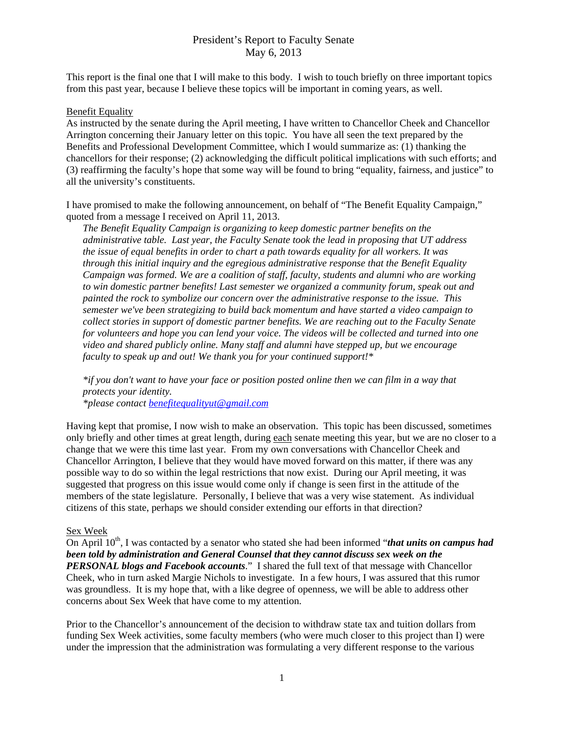## President's Report to Faculty Senate May 6, 2013

This report is the final one that I will make to this body. I wish to touch briefly on three important topics from this past year, because I believe these topics will be important in coming years, as well.

#### Benefit Equality

As instructed by the senate during the April meeting, I have written to Chancellor Cheek and Chancellor Arrington concerning their January letter on this topic. You have all seen the text prepared by the Benefits and Professional Development Committee, which I would summarize as: (1) thanking the chancellors for their response; (2) acknowledging the difficult political implications with such efforts; and (3) reaffirming the faculty's hope that some way will be found to bring "equality, fairness, and justice" to all the university's constituents.

I have promised to make the following announcement, on behalf of "The Benefit Equality Campaign," quoted from a message I received on April 11, 2013.

*The Benefit Equality Campaign is organizing to keep domestic partner benefits on the administrative table. Last year, the Faculty Senate took the lead in proposing that UT address the issue of equal benefits in order to chart a path towards equality for all workers. It was through this initial inquiry and the egregious administrative response that the Benefit Equality Campaign was formed. We are a coalition of staff, faculty, students and alumni who are working to win domestic partner benefits! Last semester we organized a community forum, speak out and painted the rock to symbolize our concern over the administrative response to the issue. This semester we've been strategizing to build back momentum and have started a video campaign to collect stories in support of domestic partner benefits. We are reaching out to the Faculty Senate for volunteers and hope you can lend your voice. The videos will be collected and turned into one video and shared publicly online. Many staff and alumni have stepped up, but we encourage faculty to speak up and out! We thank you for your continued support!\** 

*\*if you don't want to have your face or position posted online then we can film in a way that protects your identity.* 

*\*please contact benefitequalityut@gmail.com* 

Having kept that promise, I now wish to make an observation. This topic has been discussed, sometimes only briefly and other times at great length, during each senate meeting this year, but we are no closer to a change that we were this time last year. From my own conversations with Chancellor Cheek and Chancellor Arrington, I believe that they would have moved forward on this matter, if there was any possible way to do so within the legal restrictions that now exist. During our April meeting, it was suggested that progress on this issue would come only if change is seen first in the attitude of the members of the state legislature. Personally, I believe that was a very wise statement. As individual citizens of this state, perhaps we should consider extending our efforts in that direction?

### Sex Week

On April 10<sup>th</sup>, I was contacted by a senator who stated she had been informed "*that units on campus had been told by administration and General Counsel that they cannot discuss sex week on the PERSONAL blogs and Facebook accounts*." I shared the full text of that message with Chancellor Cheek, who in turn asked Margie Nichols to investigate. In a few hours, I was assured that this rumor was groundless. It is my hope that, with a like degree of openness, we will be able to address other concerns about Sex Week that have come to my attention.

Prior to the Chancellor's announcement of the decision to withdraw state tax and tuition dollars from funding Sex Week activities, some faculty members (who were much closer to this project than I) were under the impression that the administration was formulating a very different response to the various